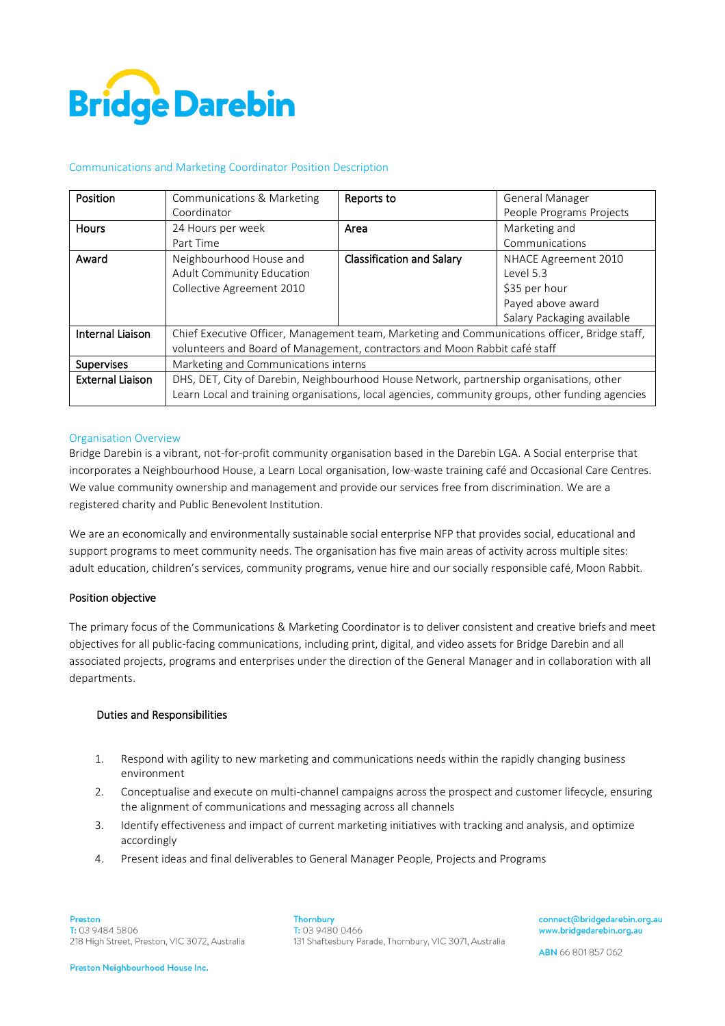

#### Communications and Marketing Coordinator Position Description

| Position                | Communications & Marketing                                                                       |                                  | <b>General Manager</b>     |
|-------------------------|--------------------------------------------------------------------------------------------------|----------------------------------|----------------------------|
|                         |                                                                                                  | Reports to                       |                            |
|                         | Coordinator                                                                                      |                                  | People Programs Projects   |
| <b>Hours</b>            | 24 Hours per week                                                                                | Area                             | Marketing and              |
|                         | Part Time                                                                                        |                                  | Communications             |
| Award                   | Neighbourhood House and                                                                          | <b>Classification and Salary</b> | NHACE Agreement 2010       |
|                         | Adult Community Education                                                                        |                                  | level 5.3                  |
|                         | Collective Agreement 2010                                                                        |                                  | \$35 per hour              |
|                         |                                                                                                  |                                  | Payed above award          |
|                         |                                                                                                  |                                  | Salary Packaging available |
| Internal Liaison        | Chief Executive Officer, Management team, Marketing and Communications officer, Bridge staff,    |                                  |                            |
|                         | volunteers and Board of Management, contractors and Moon Rabbit café staff                       |                                  |                            |
| <b>Supervises</b>       | Marketing and Communications interns                                                             |                                  |                            |
| <b>External Liaison</b> | DHS, DET, City of Darebin, Neighbourhood House Network, partnership organisations, other         |                                  |                            |
|                         | Learn Local and training organisations, local agencies, community groups, other funding agencies |                                  |                            |

#### Organisation Overview

Bridge Darebin is a vibrant, not-for-profit community organisation based in the Darebin LGA. A Social enterprise that incorporates a Neighbourhood House, a Learn Local organisation, low-waste training café and Occasional Care Centres. We value community ownership and management and provide our services free from discrimination. We are a registered charity and Public Benevolent Institution.

We are an economically and environmentally sustainable social enterprise NFP that provides social, educational and support programs to meet community needs. The organisation has five main areas of activity across multiple sites: adult education, children's services, community programs, venue hire and our socially responsible café, Moon Rabbit.

### Position objective

The primary focus of the Communications & Marketing Coordinator is to deliver consistent and creative briefs and meet objectives for all public-facing communications, including print, digital, and video assets for Bridge Darebin and all associated projects, programs and enterprises under the direction of the General Manager and in collaboration with all departments.

#### Duties and Responsibilities

- 1. Respond with agility to new marketing and communications needs within the rapidly changing business environment
- 2. Conceptualise and execute on multi-channel campaigns across the prospect and customer lifecycle, ensuring the alignment of communications and messaging across all channels
- 3. Identify effectiveness and impact of current marketing initiatives with tracking and analysis, and optimize accordingly
- 4. Present ideas and final deliverables to General Manager People, Projects and Programs

**Thornbury**  $T: 0394800466$ 131 Shaftesbury Parade, Thornbury, VIC 3071, Australia connect@bridgedarebin.org.au www.bridgedarebin.org.au

ABN 66 801 857 062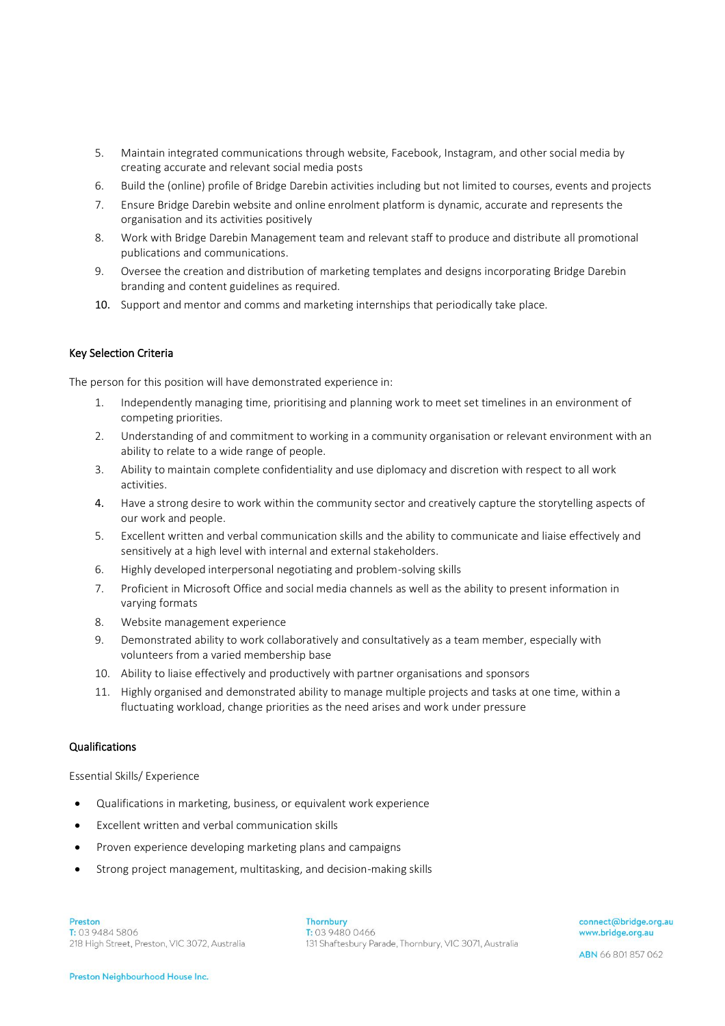- 5. Maintain integrated communications through website, Facebook, Instagram, and other social media by creating accurate and relevant social media posts
- 6. Build the (online) profile of Bridge Darebin activities including but not limited to courses, events and projects
- 7. Ensure Bridge Darebin website and online enrolment platform is dynamic, accurate and represents the organisation and its activities positively
- 8. Work with Bridge Darebin Management team and relevant staff to produce and distribute all promotional publications and communications.
- 9. Oversee the creation and distribution of marketing templates and designs incorporating Bridge Darebin branding and content guidelines as required.
- 10. Support and mentor and comms and marketing internships that periodically take place.

## Key Selection Criteria

The person for this position will have demonstrated experience in:

- 1. Independently managing time, prioritising and planning work to meet set timelines in an environment of competing priorities.
- 2. Understanding of and commitment to working in a community organisation or relevant environment with an ability to relate to a wide range of people.
- 3. Ability to maintain complete confidentiality and use diplomacy and discretion with respect to all work activities.
- 4. Have a strong desire to work within the community sector and creatively capture the storytelling aspects of our work and people.
- 5. Excellent written and verbal communication skills and the ability to communicate and liaise effectively and sensitively at a high level with internal and external stakeholders.
- 6. Highly developed interpersonal negotiating and problem-solving skills
- 7. Proficient in Microsoft Office and social media channels as well as the ability to present information in varying formats
- 8. Website management experience
- 9. Demonstrated ability to work collaboratively and consultatively as a team member, especially with volunteers from a varied membership base
- 10. Ability to liaise effectively and productively with partner organisations and sponsors
- 11. Highly organised and demonstrated ability to manage multiple projects and tasks at one time, within a fluctuating workload, change priorities as the need arises and work under pressure

# Qualifications

Essential Skills/ Experience

- Qualifications in marketing, business, or equivalent work experience
- Excellent written and verbal communication skills
- Proven experience developing marketing plans and campaigns
- Strong project management, multitasking, and decision-making skills

Thornbury T: 03 9480 0466 131 Shaftesbury Parade, Thornbury, VIC 3071, Australia connect@bridge.org.au www.bridge.org.au

ABN 66 801 857 062